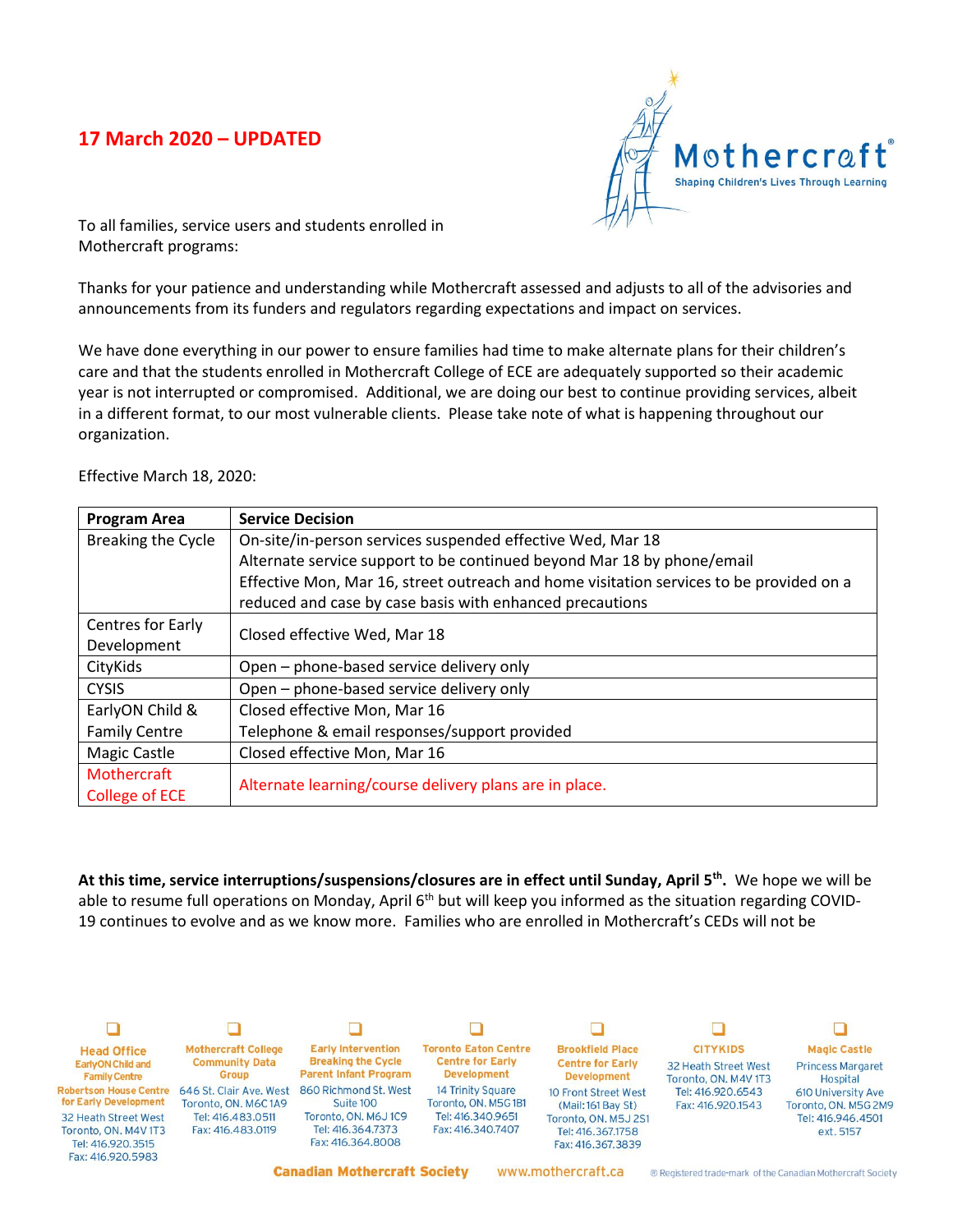## **17 March 2020 – UPDATED**



To all families, service users and students enrolled in Mothercraft programs:

Thanks for your patience and understanding while Mothercraft assessed and adjusts to all of the advisories and announcements from its funders and regulators regarding expectations and impact on services.

We have done everything in our power to ensure families had time to make alternate plans for their children's care and that the students enrolled in Mothercraft College of ECE are adequately supported so their academic year is not interrupted or compromised. Additional, we are doing our best to continue providing services, albeit in a different format, to our most vulnerable clients. Please take note of what is happening throughout our organization.

Effective March 18, 2020:

| <b>Program Area</b>  | <b>Service Decision</b>                                                                 |
|----------------------|-----------------------------------------------------------------------------------------|
| Breaking the Cycle   | On-site/in-person services suspended effective Wed, Mar 18                              |
|                      | Alternate service support to be continued beyond Mar 18 by phone/email                  |
|                      | Effective Mon, Mar 16, street outreach and home visitation services to be provided on a |
|                      | reduced and case by case basis with enhanced precautions                                |
| Centres for Early    | Closed effective Wed, Mar 18                                                            |
| Development          |                                                                                         |
| CityKids             | Open – phone-based service delivery only                                                |
| <b>CYSIS</b>         | Open - phone-based service delivery only                                                |
| EarlyON Child &      | Closed effective Mon, Mar 16                                                            |
| <b>Family Centre</b> | Telephone & email responses/support provided                                            |
| <b>Magic Castle</b>  | Closed effective Mon, Mar 16                                                            |
| Mothercraft          | Alternate learning/course delivery plans are in place.                                  |
| College of ECE       |                                                                                         |

**At this time, service interruptions/suspensions/closures are in effect until Sunday, April 5th .** We hope we will be able to resume full operations on Monday, April  $6<sup>th</sup>$  but will keep you informed as the situation regarding COVID-19 continues to evolve and as we know more. Families who are enrolled in Mothercraft's CEDs will not be